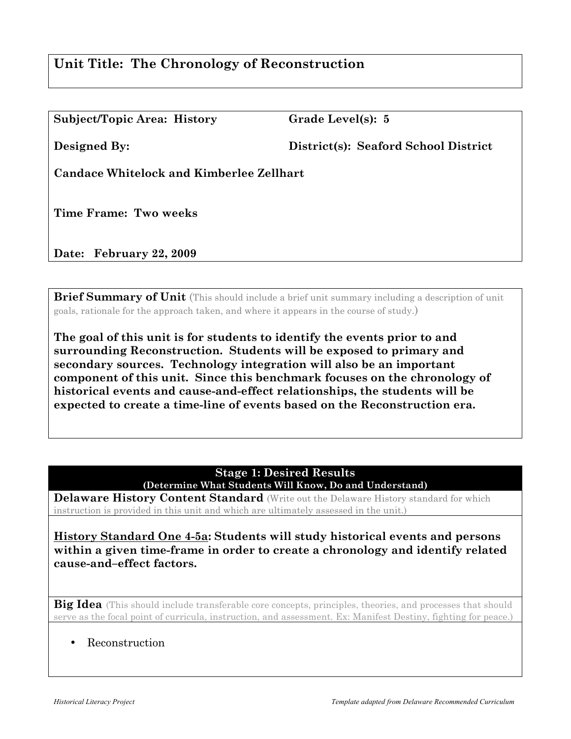# **Unit Title: The Chronology of Reconstruction**

| <b>Subject/Topic Area: History</b> |  |
|------------------------------------|--|
|------------------------------------|--|

Grade Level(s): 5

**Designed By: District(s): Seaford School District** 

**Candace Whitelock and Kimberlee Zellhart**

**Time Frame: Two weeks**

**Date: February 22, 2009**

**Brief Summary of Unit** (This should include a brief unit summary including a description of unit goals, rationale for the approach taken, and where it appears in the course of study.)

**The goal of this unit is for students to identify the events prior to and surrounding Reconstruction. Students will be exposed to primary and secondary sources. Technology integration will also be an important component of this unit. Since this benchmark focuses on the chronology of historical events and cause-and-effect relationships, the students will be expected to create a time-line of events based on the Reconstruction era.**

> **Stage 1: Desired Results (Determine What Students Will Know, Do and Understand)**

**Delaware History Content Standard** (Write out the Delaware History standard for which instruction is provided in this unit and which are ultimately assessed in the unit.)

**History Standard One 4-5a: Students will study historical events and persons within a given time-frame in order to create a chronology and identify related cause-and–effect factors.**

Big Idea (This should include transferable core concepts, principles, theories, and processes that should serve as the focal point of curricula, instruction, and assessment. Ex: Manifest Destiny, fighting for peace.)

• Reconstruction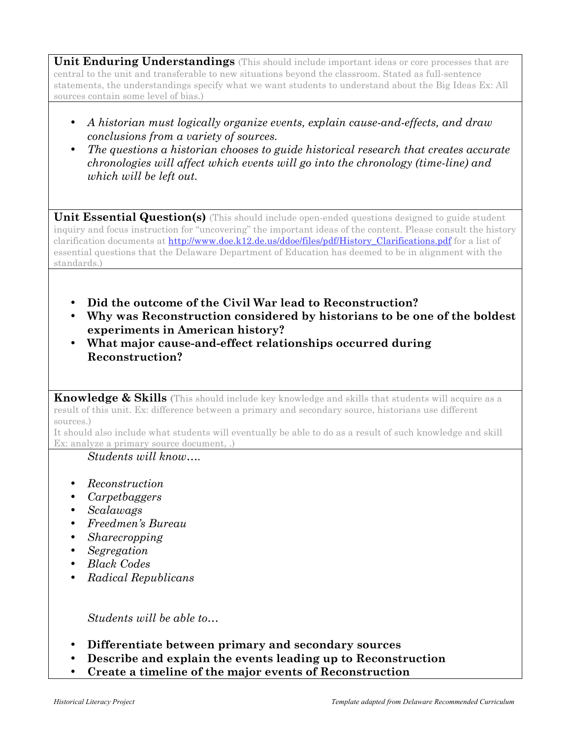**Unit Enduring Understandings** (This should include important ideas or core processes that are central to the unit and transferable to new situations beyond the classroom. Stated as full-sentence statements, the understandings specify what we want students to understand about the Big Ideas Ex: All sources contain some level of bias.)

- *A historian must logically organize events, explain cause-and-effects, and draw conclusions from a variety of sources.*
- *The questions a historian chooses to guide historical research that creates accurate chronologies will affect which events will go into the chronology (time-line) and which will be left out.*

**Unit Essential Question(s)** (This should include open-ended questions designed to guide student inquiry and focus instruction for "uncovering" the important ideas of the content. Please consult the history clarification documents at http://www.doe.k12.de.us/ddoe/files/pdf/History Clarifications.pdf for a list of essential questions that the Delaware Department of Education has deemed to be in alignment with the standards.)

- **Did the outcome of the Civil War lead to Reconstruction?**
- **Why was Reconstruction considered by historians to be one of the boldest experiments in American history?**
- **What major cause-and-effect relationships occurred during Reconstruction?**

**Knowledge & Skills (**This should include key knowledge and skills that students will acquire as a result of this unit. Ex: difference between a primary and secondary source, historians use different sources.)

It should also include what students will eventually be able to do as a result of such knowledge and skill Ex: analyze a primary source document, .)

## *Students will know….*

- *Reconstruction*
- *Carpetbaggers*
- *Scalawags*
- *Freedmen's Bureau*
- *Sharecropping*
- *Segregation*
- *Black Codes*
- *Radical Republicans*

*Students will be able to…*

- **Differentiate between primary and secondary sources**
- **Describe and explain the events leading up to Reconstruction**
- **Create a timeline of the major events of Reconstruction**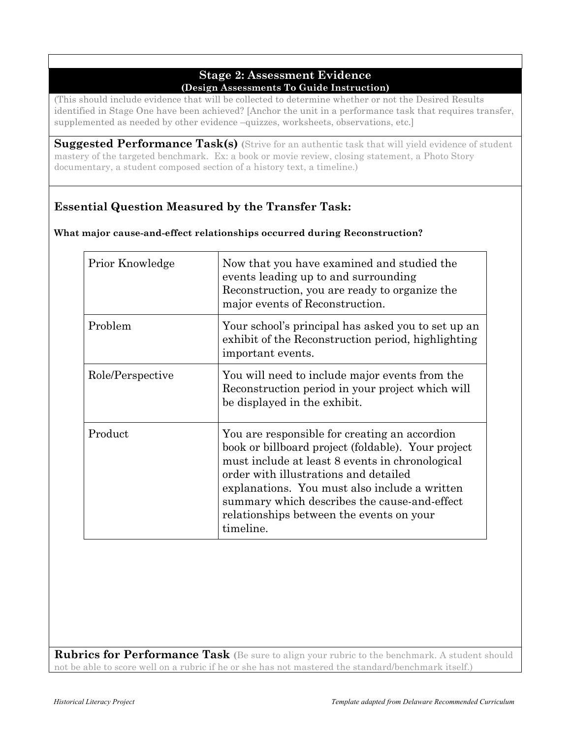### **Stage 2: Assessment Evidence (Design Assessments To Guide Instruction)**

(This should include evidence that will be collected to determine whether or not the Desired Results identified in Stage One have been achieved? [Anchor the unit in a performance task that requires transfer, supplemented as needed by other evidence –quizzes, worksheets, observations, etc.]

**Suggested Performance Task(s) (**Strive for an authentic task that will yield evidence of student mastery of the targeted benchmark. Ex: a book or movie review, closing statement, a Photo Story documentary, a student composed section of a history text, a timeline.)

# **Essential Question Measured by the Transfer Task:**

| Prior Knowledge  | Now that you have examined and studied the<br>events leading up to and surrounding<br>Reconstruction, you are ready to organize the<br>major events of Reconstruction.                                                                                                                                                                                    |
|------------------|-----------------------------------------------------------------------------------------------------------------------------------------------------------------------------------------------------------------------------------------------------------------------------------------------------------------------------------------------------------|
| Problem          | Your school's principal has asked you to set up an<br>exhibit of the Reconstruction period, highlighting<br>important events.                                                                                                                                                                                                                             |
| Role/Perspective | You will need to include major events from the<br>Reconstruction period in your project which will<br>be displayed in the exhibit.                                                                                                                                                                                                                        |
| Product          | You are responsible for creating an accordion<br>book or billboard project (foldable). Your project<br>must include at least 8 events in chronological<br>order with illustrations and detailed<br>explanations. You must also include a written<br>summary which describes the cause-and-effect<br>relationships between the events on your<br>timeline. |

**Rubrics for Performance Task (**Be sure to align your rubric to the benchmark. A student should not be able to score well on a rubric if he or she has not mastered the standard/benchmark itself.)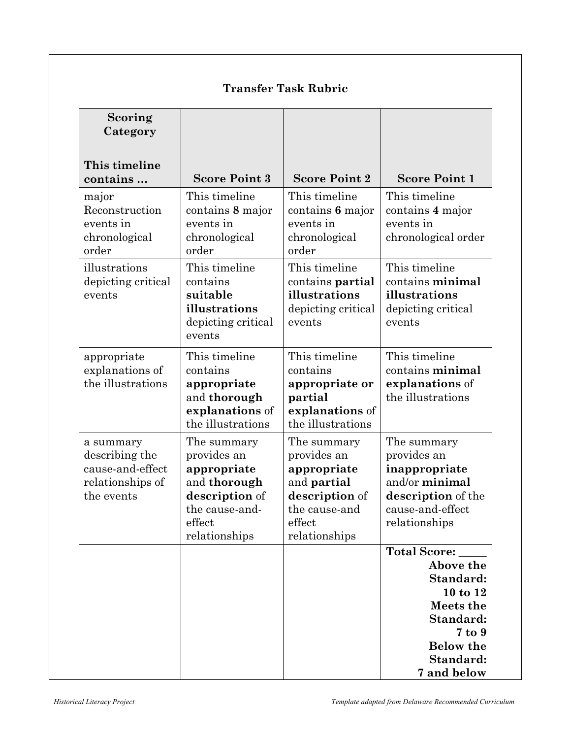| Scoring<br>Category                                                               |                                                                                                                          |                                                                                                                               |                                                                                                                                        |
|-----------------------------------------------------------------------------------|--------------------------------------------------------------------------------------------------------------------------|-------------------------------------------------------------------------------------------------------------------------------|----------------------------------------------------------------------------------------------------------------------------------------|
| This timeline<br>contains                                                         | <b>Score Point 3</b>                                                                                                     | <b>Score Point 2</b>                                                                                                          | <b>Score Point 1</b>                                                                                                                   |
| major<br>Reconstruction<br>events in<br>chronological<br>order                    | This timeline<br>contains 8 major<br>events in<br>chronological<br>order                                                 | This timeline<br>contains 6 major<br>events in<br>chronological<br>order                                                      | This timeline<br>contains 4 major<br>events in<br>chronological order                                                                  |
| illustrations<br>depicting critical<br>events                                     | This timeline<br>contains<br>suitable<br>illustrations<br>depicting critical<br>events                                   | This timeline<br>contains partial<br>illustrations<br>depicting critical<br>events                                            | This timeline<br>contains minimal<br>illustrations<br>depicting critical<br>events                                                     |
| appropriate<br>explanations of<br>the illustrations                               | This timeline<br>contains<br>appropriate<br>and thorough<br>explanations of<br>the illustrations                         | This timeline<br>contains<br>appropriate or<br>partial<br>explanations of<br>the illustrations                                | This timeline<br>contains minimal<br>explanations of<br>the illustrations                                                              |
| a summary<br>describing the<br>cause-and-effect<br>relationships of<br>the events | The summary<br>provides an<br>appropriate<br>and thorough<br>description of<br>the cause-and-<br>effect<br>relationships | The summary<br>provides an<br>appropriate<br>and <b>partial</b><br>description of<br>the cause-and<br>effect<br>relationships | The summary<br>provides an<br>inappropriate<br>and/or minimal<br>description of the<br>cause-and-effect<br>relationships               |
|                                                                                   |                                                                                                                          |                                                                                                                               | Total Score:<br>Above the<br>Standard:<br>10 to 12<br>Meets the<br>Standard:<br>7 to 9<br><b>Below the</b><br>Standard:<br>7 and below |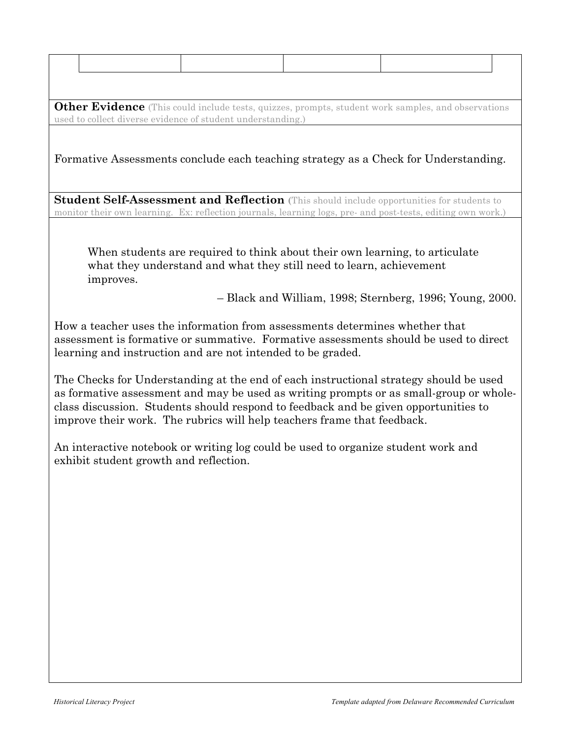**Other Evidence** (This could include tests, quizzes, prompts, student work samples, and observations used to collect diverse evidence of student understanding.)

Formative Assessments conclude each teaching strategy as a Check for Understanding.

**Student Self-Assessment and Reflection (**This should include opportunities for students to monitor their own learning. Ex: reflection journals, learning logs, pre- and post-tests, editing own work.)

When students are required to think about their own learning, to articulate what they understand and what they still need to learn, achievement improves.

– Black and William, 1998; Sternberg, 1996; Young, 2000.

How a teacher uses the information from assessments determines whether that assessment is formative or summative. Formative assessments should be used to direct learning and instruction and are not intended to be graded.

The Checks for Understanding at the end of each instructional strategy should be used as formative assessment and may be used as writing prompts or as small-group or wholeclass discussion. Students should respond to feedback and be given opportunities to improve their work. The rubrics will help teachers frame that feedback.

An interactive notebook or writing log could be used to organize student work and exhibit student growth and reflection.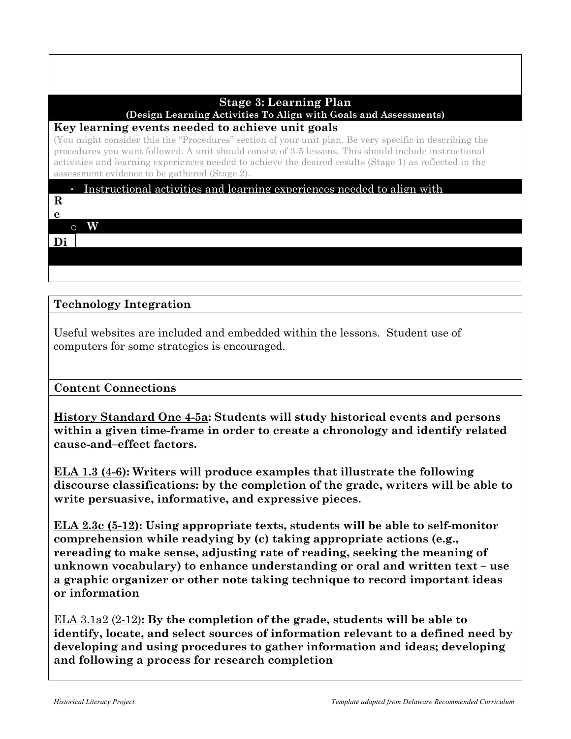# **Stage 3: Learning Plan**

**(Design Learning Activities To Align with Goals and Assessments)**

## **Key learning events needed to achieve unit goals**

(You might consider this the "Procedures" section of your unit plan. Be very specific in describing the procedures you want followed. A unit should consist of 3-5 lessons. This should include instructional activities and learning experiences needed to achieve the desired results (Stage 1) as reflected in the assessment evidence to be gathered (Stage 2).

# Instructional activities and learning experiences needed to align with

**R**

#### $\overline{\phantom{a}}$  instructional elements when designing and  $\overline{\phantom{a}}$ **e** o **W**

**t**

**r**

 $\overline{Di}$  | **o Di**

**r c**

**re nti**

#### $Rhology$  Integration **e**  $\frac{1}{\sqrt{2}}$ **t e ati on Technology Integration**

Useful websites are included and embedded within the lessons. Student use of computers for some strategies is encouraged.

Scaffold in order to acquire information, construct meaning, and

#### **Content Connections a** ude<br>Udenti

<u>**History Standard One 4-5a</u>: Students will study historical event**</u> cause-and–effect factors. within a given time-frame in order to create a chronology and identify related **<u>History Standard One 4-5a</u>: Students will study historical events and persons** 

**ELA 1.3 (4-6):** Writers will produce examples that illustrate the following discourse classifications: by the completion of the grade, w write persuasive, informative, and expressive pieces. **/** discourse classifications: by the completion of the grade, writers will be able to

ELA 2.3c (5-12): Using appropriate texts, students will be able to self-monitor  $\overline{a}$ o **reread** unknown vocabulary) to enhance understanding or oral and written text - use a graphic organizer or other note taking technique to record important ideas d **e** ruc **or information** e **comprehension while readying by (c) taking appropriate actions (e.g., b** rereading to make sense, adjusting rate of reading, seeking the meaning of tio

**The weap**, seems, and stripped and  $\alpha$  is an adverse the matrice of the stripped  $\alpha$ , developing and using procedures to gather information and ideas; developing of the para management of games internative and following a process for research completion **old way of the life. The internal were useful way the state were used when** r  $\overline{1}$ identify, locate, and select sources of information relevant to a defined need by w and following a process for research completion n <u>ELA 3.1a2 (2-12):</u> By the completion of the grade, students will be able to

**no personal property left. Many families had difficulty rebuilding** 

**u**

o

den